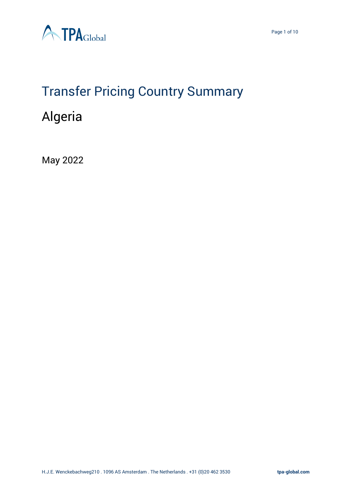



# Transfer Pricing Country Summary

# Algeria

May 2022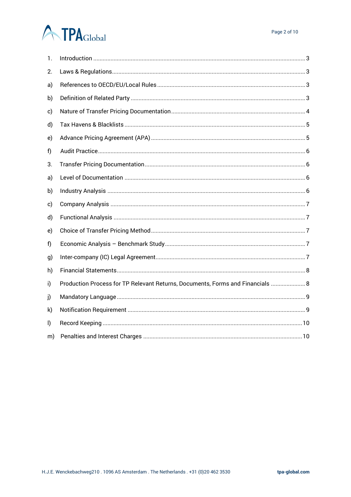# **ATPA**Global

| 1. |                                                                                |
|----|--------------------------------------------------------------------------------|
| 2. |                                                                                |
| a) |                                                                                |
| b) |                                                                                |
| c) |                                                                                |
| d) |                                                                                |
| e) |                                                                                |
| f) |                                                                                |
| 3. |                                                                                |
| a) |                                                                                |
| b) |                                                                                |
| c) |                                                                                |
| d) |                                                                                |
| e) |                                                                                |
| f) |                                                                                |
| g) |                                                                                |
| h) |                                                                                |
| i) | Production Process for TP Relevant Returns, Documents, Forms and Financials  8 |
| J) |                                                                                |
| k) |                                                                                |
| I) |                                                                                |
| m) |                                                                                |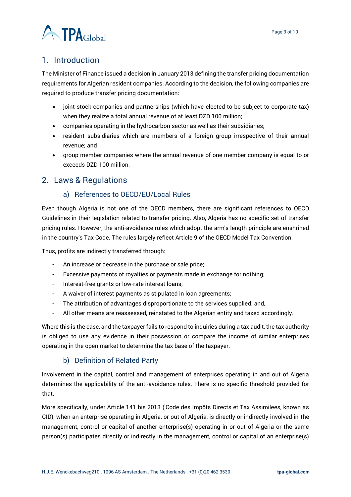

# <span id="page-2-0"></span>1. Introduction

The Minister of Finance issued a decision in January 2013 defining the transfer pricing documentation requirements for Algerian resident companies. According to the decision, the following companies are required to produce transfer pricing documentation:

- joint stock companies and partnerships (which have elected to be subject to corporate tax) when they realize a total annual revenue of at least DZD 100 million;
- companies operating in the hydrocarbon sector as well as their subsidiaries;
- resident subsidiaries which are members of a foreign group irrespective of their annual revenue; and
- group member companies where the annual revenue of one member company is equal to or exceeds DZD 100 million.

# <span id="page-2-2"></span><span id="page-2-1"></span>2. Laws & Regulations

# a) References to OECD/EU/Local Rules

Even though Algeria is not one of the OECD members, there are significant references to OECD Guidelines in their legislation related to transfer pricing. Also, Algeria has no specific set of transfer pricing rules. However, the anti-avoidance rules which adopt the arm's length principle are enshrined in the country's Tax Code. The rules largely reflect Article 9 of the OECD Model Tax Convention.

Thus, profits are indirectly transferred through:

- An increase or decrease in the purchase or sale price;
- Excessive payments of royalties or payments made in exchange for nothing;
- Interest-free grants or low-rate interest loans;
- A waiver of interest payments as stipulated in loan agreements;
- The attribution of advantages disproportionate to the services supplied; and,
- All other means are reassessed, reinstated to the Algerian entity and taxed accordingly.

Where this is the case, and the taxpayer fails to respond to inquiries during a tax audit, the tax authority is obliged to use any evidence in their possession or compare the income of similar enterprises operating in the open market to determine the tax base of the taxpayer.

# b) Definition of Related Party

<span id="page-2-3"></span>Involvement in the capital, control and management of enterprises operating in and out of Algeria determines the applicability of the anti-avoidance rules. There is no specific threshold provided for that.

More specifically, under Article 141 bis 2013 ('Code des Impôts Directs et Tax Assimilees, known as CID), when an enterprise operating in Algeria, or out of Algeria, is directly or indirectly involved in the management, control or capital of another enterprise(s) operating in or out of Algeria or the same person(s) participates directly or indirectly in the management, control or capital of an enterprise(s)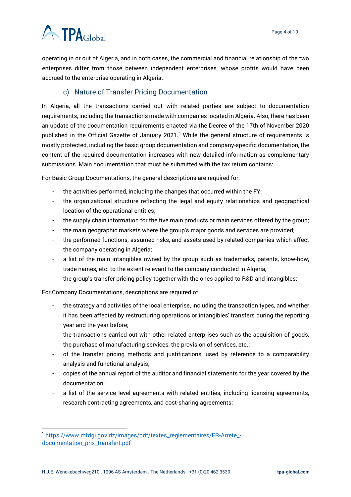

operating in or out of Algeria, and in both cases, the commercial and financial relationship of the two enterprises differ from those between independent enterprises, whose profits would have been accrued to the enterprise operating in Algeria.

# c) Nature of Transfer Pricing Documentation

<span id="page-3-0"></span>In Algeria, all the transactions carried out with related parties are subject to documentation requirements, including the transactions made with companies located in Algeria. Also, there has been an update of the documentation requirements enacted via the Decree of the 17th of November 2020 published in the Official Gazette of January 2021.<sup>1</sup> While the general structure of requirements is mostly protected, including the basic group documentation and company-specific documentation, the content of the required documentation increases with new detailed information as complementary submissions. Main documentation that must be submitted with the tax return contains:

For Basic Group Documentations, the general descriptions are required for:

- the activities performed, including the changes that occurred within the FY;
- the organizational structure reflecting the legal and equity relationships and geographical location of the operational entities;
- the supply chain information for the five main products or main services offered by the group;
- the main geographic markets where the group's major goods and services are provided;
- the performed functions, assumed risks, and assets used by related companies which affect the company operating in Algeria;
- a list of the main intangibles owned by the group such as trademarks, patents, know-how, trade names, etc. to the extent relevant to the company conducted in Algeria,
- the group's transfer pricing policy together with the ones applied to R&D and intangibles;

For Company Documentations, descriptions are required of:

- the strategy and activities of the local enterprise, including the transaction types, and whether it has been affected by restructuring operations or intangibles' transfers during the reporting year and the year before;
- the transactions carried out with other related enterprises such as the acquisition of goods, the purchase of manufacturing services, the provision of services, etc.;
- of the transfer pricing methods and justifications, used by reference to a comparability analysis and functional analysis;
- copies of the annual report of the auditor and financial statements for the year covered by the documentation;
- a list of the service level agreements with related entities, including licensing agreements, research contracting agreements, and cost-sharing agreements;

<sup>&</sup>lt;sup>1</sup> [https://www.mfdgi.gov.dz/images/pdf/textes\\_reglementaires/FR-Arrete\\_](https://www.mfdgi.gov.dz/images/pdf/textes_reglementaires/FR-Arrete_-documentation_prix_transfert.pdf) [documentation\\_prix\\_transfert.pdf](https://www.mfdgi.gov.dz/images/pdf/textes_reglementaires/FR-Arrete_-documentation_prix_transfert.pdf)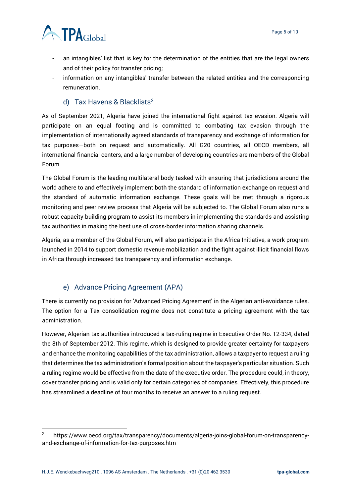

- an intangibles' list that is key for the determination of the entities that are the legal owners and of their policy for transfer pricing;
- information on any intangibles' transfer between the related entities and the corresponding remuneration.

#### d) Tax Havens & Blacklists<sup>2</sup>

<span id="page-4-0"></span>As of September 2021, Algeria have joined the international fight against tax evasion. Algeria will participate on an equal footing and is committed to combating tax evasion through the implementation of internationally agreed standards of transparency and exchange of information for tax purposes—both on request and automatically. All G20 countries, all OECD members, all international financial centers, and a large number of developing countries are members of the Global Forum.

The Global Forum is the leading multilateral body tasked with ensuring that jurisdictions around the world adhere to and effectively implement both the standard of information exchange on request and the standard of automatic information exchange. These goals will be met through a rigorous monitoring and peer review process that Algeria will be subjected to. The Global Forum also runs a robust capacity-building program to assist its members in implementing the standards and assisting tax authorities in making the best use of cross-border information sharing channels.

Algeria, as a member of the Global Forum, will also participate in the Africa Initiative, a work program launched in 2014 to support domestic revenue mobilization and the fight against illicit financial flows in Africa through increased tax transparency and information exchange.

# e) Advance Pricing Agreement (APA)

<span id="page-4-1"></span>There is currently no provision for 'Advanced Pricing Agreement' in the Algerian anti-avoidance rules. The option for a Tax consolidation regime does not constitute a pricing agreement with the tax administration.

However, Algerian tax authorities introduced a tax-ruling regime in Executive Order No. 12-334, dated the 8th of September 2012. This regime, which is designed to provide greater certainty for taxpayers and enhance the monitoring capabilities of the tax administration, allows a taxpayer to request a ruling that determines the tax administration's formal position about the taxpayer's particular situation. Such a ruling regime would be effective from the date of the executive order. The procedure could, in theory, cover transfer pricing and is valid only for certain categories of companies. Effectively, this procedure has streamlined a deadline of four months to receive an answer to a ruling request.

<sup>2</sup> https://www.oecd.org/tax/transparency/documents/algeria-joins-global-forum-on-transparencyand-exchange-of-information-for-tax-purposes.htm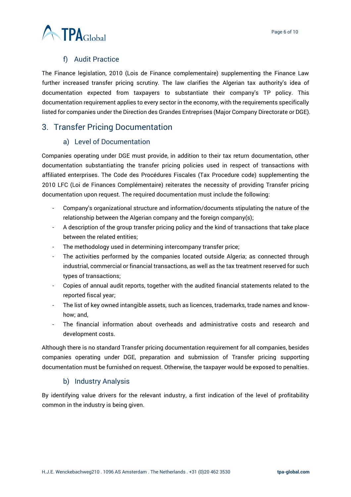

#### f) Audit Practice

<span id="page-5-0"></span>The Finance legislation, 2010 (Lois de Finance complementaire) supplementing the Finance Law further increased transfer pricing scrutiny. The law clarifies the Algerian tax authority's idea of documentation expected from taxpayers to substantiate their company's TP policy. This documentation requirement applies to every sector in the economy, with the requirements specifically listed for companies under the Direction des Grandes Entreprises (Major Company Directorate or DGE).

# <span id="page-5-2"></span><span id="page-5-1"></span>3. Transfer Pricing Documentation

#### a) Level of Documentation

Companies operating under DGE must provide, in addition to their tax return documentation, other documentation substantiating the transfer pricing policies used in respect of transactions with affiliated enterprises. The Code des Procédures Fiscales (Tax Procedure code) supplementing the 2010 LFC (Loi de Finances Complémentaire) reiterates the necessity of providing Transfer pricing documentation upon request. The required documentation must include the following:

- Company's organizational structure and information/documents stipulating the nature of the relationship between the Algerian company and the foreign company(s);
- A description of the group transfer pricing policy and the kind of transactions that take place between the related entities;
- The methodology used in determining intercompany transfer price;
- The activities performed by the companies located outside Algeria; as connected through industrial, commercial or financial transactions, as well as the tax treatment reserved for such types of transactions;
- Copies of annual audit reports, together with the audited financial statements related to the reported fiscal year;
- The list of key owned intangible assets, such as licences, trademarks, trade names and knowhow; and,
- The financial information about overheads and administrative costs and research and development costs.

Although there is no standard Transfer pricing documentation requirement for all companies, besides companies operating under DGE, preparation and submission of Transfer pricing supporting documentation must be furnished on request. Otherwise, the taxpayer would be exposed to penalties.

#### b) Industry Analysis

<span id="page-5-3"></span>By identifying value drivers for the relevant industry, a first indication of the level of profitability common in the industry is being given.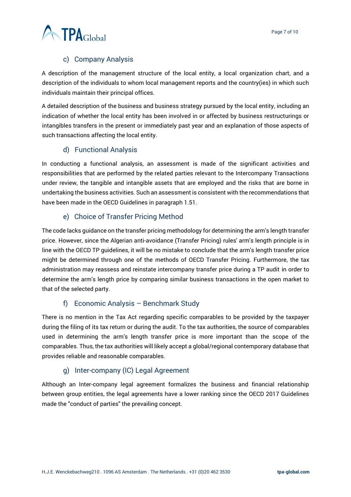

# c) Company Analysis

<span id="page-6-0"></span>A description of the management structure of the local entity, a local organization chart, and a description of the individuals to whom local management reports and the country(ies) in which such individuals maintain their principal offices.

A detailed description of the business and business strategy pursued by the local entity, including an indication of whether the local entity has been involved in or affected by business restructurings or intangibles transfers in the present or immediately past year and an explanation of those aspects of such transactions affecting the local entity.

# d) Functional Analysis

<span id="page-6-1"></span>In conducting a functional analysis, an assessment is made of the significant activities and responsibilities that are performed by the related parties relevant to the Intercompany Transactions under review, the tangible and intangible assets that are employed and the risks that are borne in undertaking the business activities. Such an assessment is consistent with the recommendations that have been made in the OECD Guidelines in paragraph 1.51.

#### e) Choice of Transfer Pricing Method

<span id="page-6-2"></span>The code lacks guidance on the transfer pricing methodology for determining the arm's length transfer price. However, since the Algerian anti-avoidance (Transfer Pricing) rules' arm's length principle is in line with the OECD TP guidelines, it will be no mistake to conclude that the arm's length transfer price might be determined through one of the methods of OECD Transfer Pricing. Furthermore, the tax administration may reassess and reinstate intercompany transfer price during a TP audit in order to determine the arm's length price by comparing similar business transactions in the open market to that of the selected party.

# f) Economic Analysis – Benchmark Study

<span id="page-6-3"></span>There is no mention in the Tax Act regarding specific comparables to be provided by the taxpayer during the filing of its tax return or during the audit. To the tax authorities, the source of comparables used in determining the arm's length transfer price is more important than the scope of the comparables. Thus, the tax authorities will likely accept a global/regional contemporary database that provides reliable and reasonable comparables.

# g) Inter-company (IC) Legal Agreement

<span id="page-6-4"></span>Although an Inter-company legal agreement formalizes the business and financial relationship between group entities, the legal agreements have a lower ranking since the OECD 2017 Guidelines made the "conduct of parties" the prevailing concept.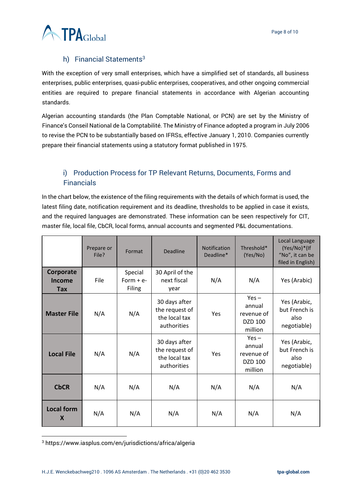

# h) Financial Statements<sup>3</sup>

<span id="page-7-0"></span>With the exception of very small enterprises, which have a simplified set of standards, all business enterprises, public enterprises, quasi-public enterprises, cooperatives, and other ongoing commercial entities are required to prepare financial statements in accordance with Algerian accounting standards.

Algerian accounting standards (the Plan Comptable National, or PCN) are set by the Ministry of Finance's Conseil National de la Comptabilité. The Ministry of Finance adopted a program in July 2006 to revise the PCN to be substantially based on IFRSs, effective January 1, 2010. Companies currently prepare their financial statements using a statutory format published in 1975.

# <span id="page-7-1"></span>i) Production Process for TP Relevant Returns, Documents, Forms and Financials

In the chart below, the existence of the filing requirements with the details of which format is used, the latest filing date, notification requirement and its deadline, thresholds to be applied in case it exists, and the required languages are demonstrated. These information can be seen respectively for CIT, master file, local file, CbCR, local forms, annual accounts and segmented P&L documentations.

|                                   | Prepare or<br>File? | Format                                 | <b>Deadline</b>                                                 | <b>Notification</b><br>Deadline* | Threshold*<br>(Yes/No)                                | Local Language<br>(Yes/No)*(If<br>"No", it can be<br>filed in English) |
|-----------------------------------|---------------------|----------------------------------------|-----------------------------------------------------------------|----------------------------------|-------------------------------------------------------|------------------------------------------------------------------------|
| Corporate<br>Income<br><b>Tax</b> | File                | Special<br>Form $+e-$<br><b>Filing</b> | 30 April of the<br>next fiscal<br>year                          | N/A                              | N/A                                                   | Yes (Arabic)                                                           |
| <b>Master File</b>                | N/A                 | N/A                                    | 30 days after<br>the request of<br>the local tax<br>authorities | Yes                              | $Yes -$<br>annual<br>revenue of<br>DZD 100<br>million | Yes (Arabic,<br>but French is<br>also<br>negotiable)                   |
| <b>Local File</b>                 | N/A                 | N/A                                    | 30 days after<br>the request of<br>the local tax<br>authorities | <b>Yes</b>                       | $Yes -$<br>annual<br>revenue of<br>DZD 100<br>million | Yes (Arabic,<br>but French is<br>also<br>negotiable)                   |
| <b>CbCR</b>                       | N/A                 | N/A                                    | N/A                                                             | N/A                              | N/A                                                   | N/A                                                                    |
| <b>Local form</b><br>X            | N/A                 | N/A                                    | N/A                                                             | N/A                              | N/A                                                   | N/A                                                                    |

<sup>3</sup> https://www.iasplus.com/en/jurisdictions/africa/algeria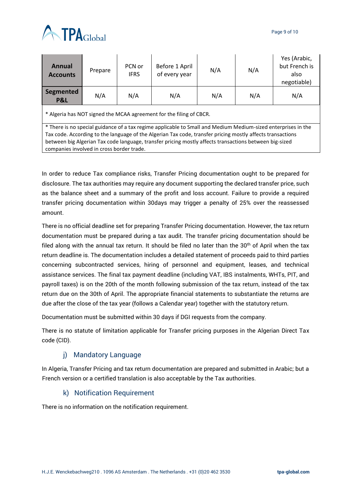

| Annual<br><b>Accounts</b>                                                                                     | Prepare | PCN or<br><b>IFRS</b> | Before 1 April<br>of every year | N/A | N/A | Yes (Arabic,<br>but French is<br>also<br>negotiable) |  |  |  |
|---------------------------------------------------------------------------------------------------------------|---------|-----------------------|---------------------------------|-----|-----|------------------------------------------------------|--|--|--|
| Segmented<br>P&L                                                                                              | N/A     | N/A                   | N/A                             | N/A | N/A | N/A                                                  |  |  |  |
| * Algeria has NOT signed the MCAA agreement for the filing of CBCR.                                           |         |                       |                                 |     |     |                                                      |  |  |  |
| * There is no special guidance of a tax regime applicable to Small and Medium Medium-sized enterprises in the |         |                       |                                 |     |     |                                                      |  |  |  |
| Tax code. According to the language of the Algerian Tax code, transfer pricing mostly affects transactions    |         |                       |                                 |     |     |                                                      |  |  |  |
| between big Algerian Tax code language, transfer pricing mostly affects transactions between big-sized        |         |                       |                                 |     |     |                                                      |  |  |  |

companies involved in cross border trade.

In order to reduce Tax compliance risks, Transfer Pricing documentation ought to be prepared for disclosure. The tax authorities may require any document supporting the declared transfer price, such as the balance sheet and a summary of the profit and loss account. Failure to provide a required transfer pricing documentation within 30days may trigger a penalty of 25% over the reassessed amount.

There is no official deadline set for preparing Transfer Pricing documentation. However, the tax return documentation must be prepared during a tax audit. The transfer pricing documentation should be filed along with the annual tax return. It should be filed no later than the  $30<sup>th</sup>$  of April when the tax return deadline is. The documentation includes a detailed statement of proceeds paid to third parties concerning subcontracted services, hiring of personnel and equipment, leases, and technical assistance services. The final tax payment deadline (including VAT, IBS instalments, WHTs, PIT, and payroll taxes) is on the 20th of the month following submission of the tax return, instead of the tax return due on the 30th of April. The appropriate financial statements to substantiate the returns are due after the close of the tax year (follows a Calendar year) together with the statutory return.

Documentation must be submitted within 30 days if DGI requests from the company.

There is no statute of limitation applicable for Transfer pricing purposes in the Algerian Direct Tax code (CID).

# j) Mandatory Language

<span id="page-8-0"></span>In Algeria, Transfer Pricing and tax return documentation are prepared and submitted in Arabic; but a French version or a certified translation is also acceptable by the Tax authorities.

# k) Notification Requirement

<span id="page-8-1"></span>There is no information on the notification requirement.